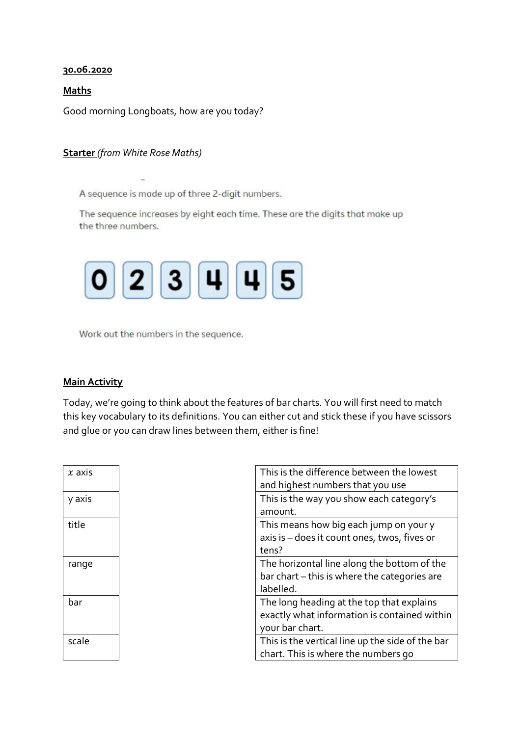## **30.06.2020**

## **Maths**

Good morning Longboats, how are you today?

## **Starter** *(from White Rose Maths)*

A sequence is made up of three 2-digit numbers.

The sequence increases by eight each time. These are the digits that make up the three numbers.



Work out the numbers in the sequence.

## **Main Activity**

Today, we're going to think about the features of bar charts. You will first need to match this key vocabulary to its definitions. You can either cut and stick these if you have scissors and glue or you can draw lines between them, either is fine!

| $x$ axis | This is the difference between the lowest<br>and highest numbers that you use             |
|----------|-------------------------------------------------------------------------------------------|
| y axis   | This is the way you show each category's<br>amount.                                       |
| title    | This means how big each jump on your y                                                    |
|          | axis is - does it count ones, twos, fives or                                              |
|          | tens?                                                                                     |
| range    | The horizontal line along the bottom of the                                               |
|          | bar chart - this is where the categories are<br>labelled.                                 |
| bar      | The long heading at the top that explains<br>exactly what information is contained within |
|          | your bar chart.                                                                           |
| scale    | This is the vertical line up the side of the bar                                          |
|          | chart. This is where the numbers go                                                       |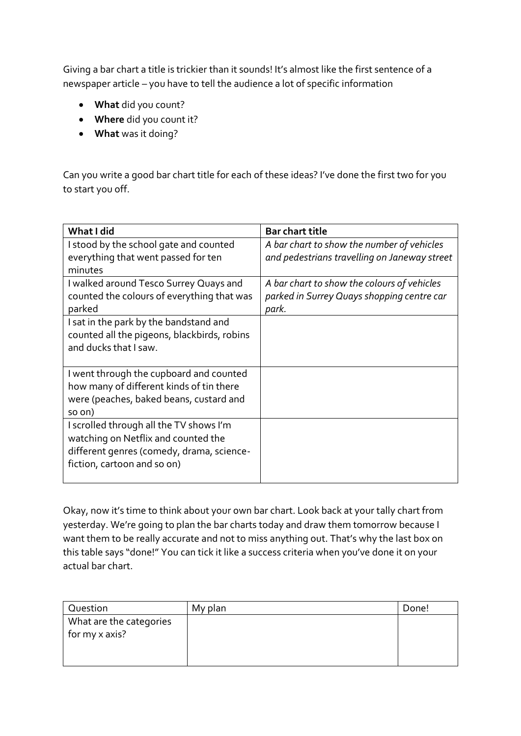Giving a bar chart a title is trickier than it sounds! It's almost like the first sentence of a newspaper article – you have to tell the audience a lot of specific information

- **What** did you count?
- **Where** did you count it?
- **What** was it doing?

Can you write a good bar chart title for each of these ideas? I've done the first two for you to start you off.

| What I did                                                                                                                                                 | <b>Bar chart title</b>                                                                     |
|------------------------------------------------------------------------------------------------------------------------------------------------------------|--------------------------------------------------------------------------------------------|
| I stood by the school gate and counted<br>everything that went passed for ten                                                                              | A bar chart to show the number of vehicles<br>and pedestrians travelling on Janeway street |
| minutes                                                                                                                                                    |                                                                                            |
| I walked around Tesco Surrey Quays and                                                                                                                     | A bar chart to show the colours of vehicles                                                |
| counted the colours of everything that was<br>parked                                                                                                       | parked in Surrey Quays shopping centre car<br>park.                                        |
| I sat in the park by the bandstand and<br>counted all the pigeons, blackbirds, robins<br>and ducks that I saw.                                             |                                                                                            |
| I went through the cupboard and counted<br>how many of different kinds of tin there<br>were (peaches, baked beans, custard and<br>so on)                   |                                                                                            |
| I scrolled through all the TV shows I'm<br>watching on Netflix and counted the<br>different genres (comedy, drama, science-<br>fiction, cartoon and so on) |                                                                                            |

Okay, now it's time to think about your own bar chart. Look back at your tally chart from yesterday. We're going to plan the bar charts today and draw them tomorrow because I want them to be really accurate and not to miss anything out. That's why the last box on this table says "done!" You can tick it like a success criteria when you've done it on your actual bar chart.

| Question                | My plan | Done! |
|-------------------------|---------|-------|
| What are the categories |         |       |
| for my x axis?          |         |       |
|                         |         |       |
|                         |         |       |